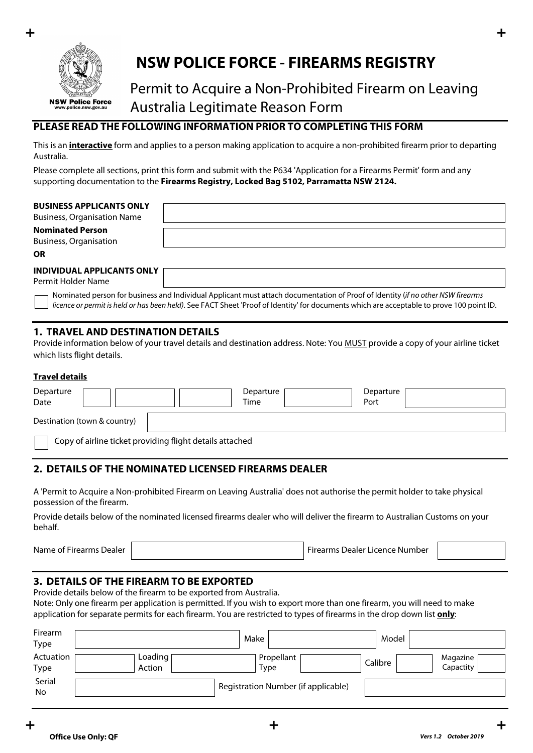

# **NSW POLICE FORCE - FIREARMS REGISTRY**

# Permit to Acquire a Non-Prohibited Firearm on Leaving Australia Legitimate Reason Form

# **PLEASE READ THE FOLLOWING INFORMATION PRIOR TO COMPLETING THIS FORM**

This is an **interactive** form and applies to a person making application to acquire a non-prohibited firearm prior to departing Australia.

Please complete all sections, print this form and submit with the P634 'Application for a Firearms Permit' form and any supporting documentation to the **Firearms Registry, Locked Bag 5102, Parramatta NSW 2124.**

| <b>BUSINESS APPLICANTS ONLY</b><br><b>Business, Organisation Name</b> |  |
|-----------------------------------------------------------------------|--|
| <b>Nominated Person</b><br><b>Business, Organisation</b>              |  |
| <b>OR</b>                                                             |  |
| <b>INDIVIDUAL APPLICANTS ONLY</b><br>Permit Holder Name               |  |

Nominated person for business and Individual Applicant must attach documentation of Proof of Identity (*if no other NSW firearms licence or permit is held or has been held)*. See FACT Sheet 'Proof of Identity' for documents which are acceptable to prove 100 point ID.

### **1. TRAVEL AND DESTINATION DETAILS**

Provide information below of your travel details and destination address. Note: You MUST provide a copy of your airline ticket which lists flight details.

#### **Travel details**

| Departure<br>Date                                        |                              |  |  | Departure<br>Time |  | Departure<br>Port |  |
|----------------------------------------------------------|------------------------------|--|--|-------------------|--|-------------------|--|
|                                                          | Destination (town & country) |  |  |                   |  |                   |  |
| Copy of airline ticket providing flight details attached |                              |  |  |                   |  |                   |  |

# **2. DETAILS OF THE NOMINATED LICENSED FIREARMS DEALER**

A 'Permit to Acquire a Non-prohibited Firearm on Leaving Australia' does not authorise the permit holder to take physical possession of the firearm.

Provide details below of the nominated licensed firearms dealer who will deliver the firearm to Australian Customs on your behalf.

Name of Firearms Dealer Firearms Dealer Firearms Dealer Licence Number

# **3. DETAILS OF THE FIREARM TO BE EXPORTED**

Provide details below of the firearm to be exported from Australia.

Note: Only one firearm per application is permitted. If you wish to export more than one firearm, you will need to make application for separate permits for each firearm. You are restricted to types of firearms in the drop down list **only**:

| Firearm<br>Type   |                   | Make                                | Model                            |
|-------------------|-------------------|-------------------------------------|----------------------------------|
| Actuation<br>Type | Loading<br>Action | Propellant<br>Type                  | Magazine<br>Calibre<br>Capactity |
| Serial<br>No      |                   | Registration Number (if applicable) |                                  |